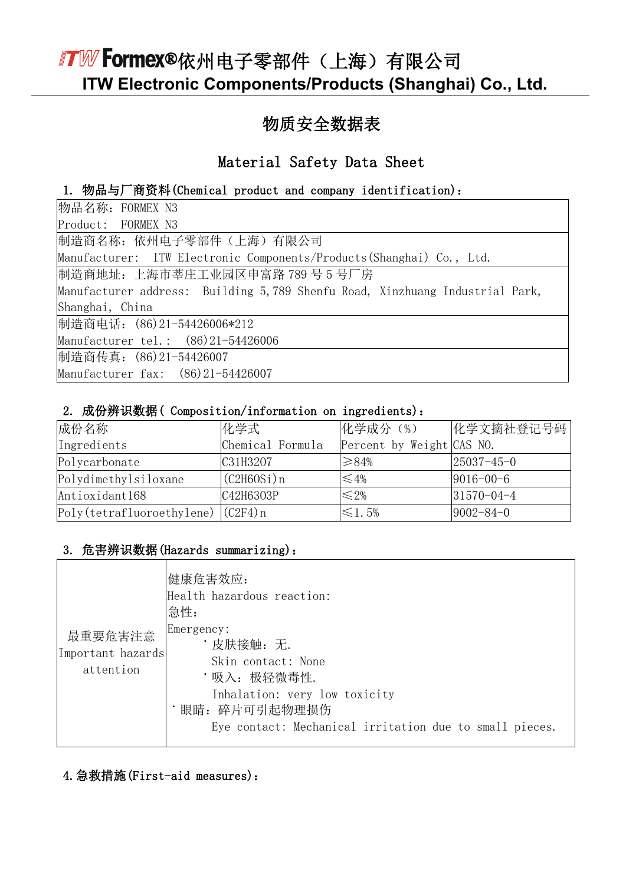### 物质安全数据表

### Material Safety Data Sheet

#### 1. 物品与厂商资料(Chemical product and company identification):

| 物品名称: FORMEX N3                                                              |
|------------------------------------------------------------------------------|
| Product: FORMEX N3                                                           |
| 制造商名称: 依州电子零部件 (上海) 有限公司                                                     |
| Manufacturer: ITW Electronic Components/Products(Shanghai) Co., Ltd.         |
| 制造商地址: 上海市莘庄工业园区申富路 789 号 5 号厂房                                              |
| Manufacturer address: Building 5,789 Shenfu Road, Xinzhuang Industrial Park, |
| Shanghai, China                                                              |
| 制造商电话: (86)21-54426006*212                                                   |
| Manufacturer tel.: (86)21-54426006                                           |
| 制造商传真: (86)21-54426007                                                       |
| Manufacturer fax: (86)21-54426007                                            |

#### 2. 成份辨识数据( Composition/information on ingredients):

| 成份名称                                  | 化学式              | 化学成分 (%)                  | 化学文摘社登记号码        |
|---------------------------------------|------------------|---------------------------|------------------|
| Ingredients                           | Chemical Formula | Percent by Weight CAS NO. |                  |
| Polycarbonate                         | C31H3207         | $\geq 84\%$               | $25037 - 45 - 0$ |
| Polydimethylsiloxane                  | (C2H60Si) n      | ≤4%                       | $9016 - 00 - 6$  |
| Antioxidant168                        | C42H6303P        | $\leq 2\%$                | $31570 - 04 - 4$ |
| $Poly(tetrafluoroethylene)$ $(C2F4)n$ |                  | $\leq 1.5\%$              | $9002 - 84 - 0$  |

#### 3. 危害辨识数据(Hazards summarizing):

| 最重要危害注意<br>Important hazards<br>attention | 健康危害效应:<br>Health hazardous reaction:<br>急性:<br>Emergency:<br>・皮肤接触: 无.<br>Skin contact: None<br>・吸入: 极轻微毒性.<br>Inhalation: very low toxicity<br>眼睛: 碎片可引起物理损伤<br>Eye contact: Mechanical irritation due to small pieces. |
|-------------------------------------------|---------------------------------------------------------------------------------------------------------------------------------------------------------------------------------------------------------------------------|
|-------------------------------------------|---------------------------------------------------------------------------------------------------------------------------------------------------------------------------------------------------------------------------|

#### 4.急救措施(First-aid measures):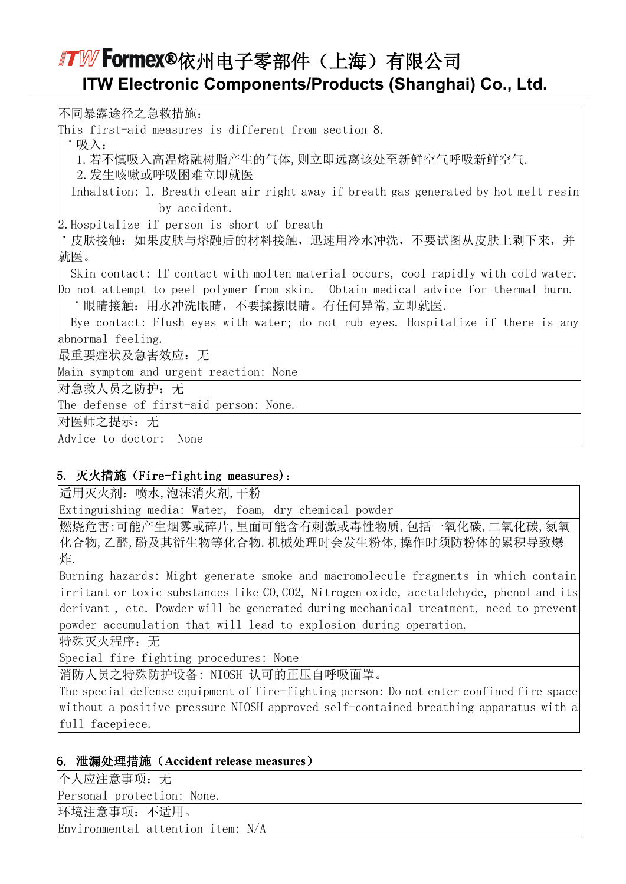不同暴露途径之急救措施: This first-aid measures is different from section 8.  $\cdot \mathbb{R} \lambda$ . 1.若不慎吸入高温熔融树脂产生的气体,则立即远离该处至新鲜空气呼吸新鲜空气. 2.发生咳嗽或呼吸困难立即就医 Inhalation: 1. Breath clean air right away if breath gas generated by hot melt resin by accident. 2.Hospitalize if person is short of breath ˙皮肤接触:如果皮肤与熔融后的材料接触,迅速用冷水冲洗,不要试图从皮肤上剥下来,并 就医。 Skin contact: If contact with molten material occurs, cool rapidly with cold water. Do not attempt to peel polymer from skin. Obtain medical advice for thermal burn. ˙眼睛接触:用水冲洗眼睛,不要揉擦眼睛。有任何异常,立即就医. Eye contact: Flush eyes with water; do not rub eyes. Hospitalize if there is any abnormal feeling. 最重要症状及急害效应:无 Main symptom and urgent reaction: None 对急救人员之防护:无 The defense of first-aid person: None. 对医师之提示:无 Advice to doctor: None

#### 5. 灭火措施(Fire-fighting measures):

适用灭火剂:喷水,泡沫消火剂,干粉

Extinguishing media: Water, foam, dry chemical powder

燃烧危害:可能产生烟雾或碎片,里面可能含有刺激或毒性物质,包括一氧化碳,二氧化碳,氮氧 化合物,乙醛,酚及其衍生物等化合物.机械处理时会发生粉体,操作时须防粉体的累积导致爆 炸.

Burning hazards: Might generate smoke and macromolecule fragments in which contain irritant or toxic substances like CO, CO2, Nitrogen oxide, acetaldehyde, phenol and its derivant , etc. Powder will be generated during mechanical treatment, need to prevent powder accumulation that will lead to explosion during operation.

特殊灭火程序: 无

Special fire fighting procedures: None

消防人员之特殊防护设备: NIOSH 认可的正压自呼吸面罩。

The special defense equipment of fire-fighting person: Do not enter confined fire space without a positive pressure NIOSH approved self-contained breathing apparatus with a full facepiece.

#### 6. 泄漏处理措施(**Accident release measures**)

个人应注意事项:无 Personal protection: None. 环境注意事项:不适用。 Environmental attention item: N/A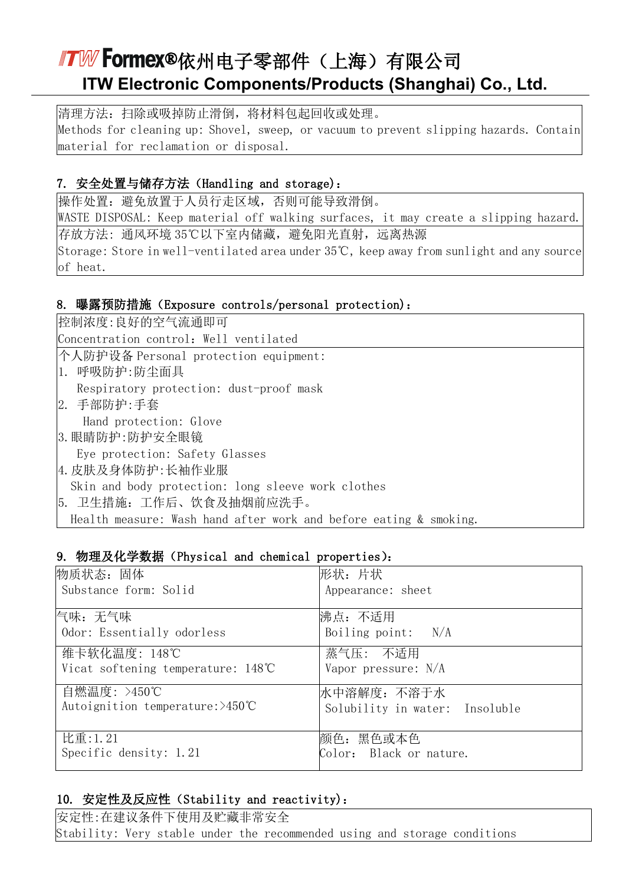清理方法:扫除或吸掉防止滑倒,将材料包起回收或处理。 Methods for cleaning up: Shovel, sweep, or vacuum to prevent slipping hazards. Contain material for reclamation or disposal.

#### 7. 安全处置与储存方法(Handling and storage):

操作处置:避免放置于人员行走区域,否则可能导致滑倒。

WASTE DISPOSAL: Keep material off walking surfaces, it may create a slipping hazard. 存放方法:通风环境 35℃以下室内储藏,避免阳光直射,远离热源 Storage: Store in well-ventilated area under 35℃, keep away from sunlight and any source of heat.

#### 8. 曝露预防措施(Exposure controls/personal protection):

控制浓度:良好的空气流通即可 Concentration control: Well ventilated 个人防护设备 Personal protection equipment: 1. 呼吸防护:防尘面具 Respiratory protection: dust-proof mask 2. 手部防护:手套 Hand protection: Glove 3.眼睛防护:防护安全眼镜 Eye protection: Safety Glasses 4.皮肤及身体防护:长袖作业服 Skin and body protection: long sleeve work clothes 5. 卫生措施:工作后、饮食及抽烟前应洗手。 Health measure: Wash hand after work and before eating & smoking.

#### 9. 物理及化学数据(Physical and chemical properties):

| 物质状态: 固体                                   | 形状: 片状                         |
|--------------------------------------------|--------------------------------|
| Substance form: Solid                      | Appearance: sheet              |
| 忾味:无气味                                     | 沸点: 不适用                        |
| Odor: Essentially odorless                 | Boiling point: $N/A$           |
| 维卡软化温度: 148℃                               | 蒸气压: 不适用                       |
| Vicat softening temperature: 148°C         | Vapor pressure: N/A            |
| 自燃温度: >450℃                                | 水中溶解度: 不溶于水                    |
| Autoignition temperature: $>450^{\circ}$ C | Solubility in water: Insoluble |
| 比重:1.21                                    | 颜色: 黑色或本色                      |
| Specific density: 1.21                     | Color: Black or nature.        |

#### 10. 安定性及反应性(Stability and reactivity):

安定性:在建议条件下使用及贮藏非常安全 Stability: Very stable under the recommended using and storage conditions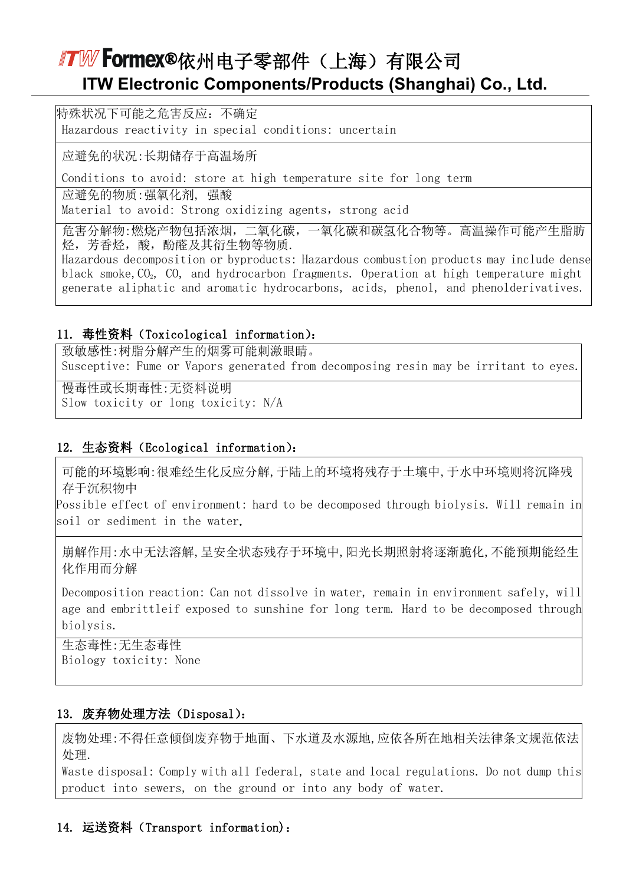特殊状况下可能之危害反应:不确定 Hazardous reactivity in special conditions: uncertain

应避免的状况:长期储存于高温场所

Conditions to avoid: store at high temperature site for long term

应避免的物质:强氧化剂, 强酸

Material to avoid: Strong oxidizing agents, strong acid

危害分解物:燃烧产物包括浓烟,二氧化碳,一氧化碳和碳氢化合物等。高温操作可能产生脂肪 烃,芳香烃,酸,酚醛及其衍生物等物质.

Hazardous decomposition or byproducts: Hazardous combustion products may include dense black smoke,  $CO<sub>2</sub>$ ,  $CO<sub>3</sub>$ , and hydrocarbon fragments. Operation at high temperature might generate aliphatic and aromatic hydrocarbons, acids, phenol, and phenolderivatives.

#### 11. 毒性资料(Toxicological information):

致敏感性:树脂分解产生的烟雾可能刺激眼睛。 Susceptive: Fume or Vapors generated from decomposing resin may be irritant to eyes.

慢毒性或长期毒性:无资料说明 Slow toxicity or long toxicity: N/A

#### 12. 生态资料(Ecological information):

可能的环境影响:很难经生化反应分解,于陆上的环境将残存于土壤中,于水中环境则将沉降残 存于沉积物中

Possible effect of environment: hard to be decomposed through biolysis. Will remain in soil or sediment in the water.

崩解作用:水中无法溶解,呈安全状态残存于环境中,阳光长期照射将逐渐脆化,不能预期能经生 化作用而分解

Decomposition reaction: Can not dissolve in water, remain in environment safely, will age and embrittleif exposed to sunshine for long term. Hard to be decomposed through biolysis.

生态毒性:无生态毒性 Biology toxicity: None

#### 13. 废弃物处理方法(Disposal):

废物处理:不得任意倾倒废弃物于地面、下水道及水源地,应依各所在地相关法律条文规范依法 处理.

Waste disposal: Comply with all federal, state and local regulations. Do not dump this product into sewers, on the ground or into any body of water.

### 14. 运送资料(Transport information):